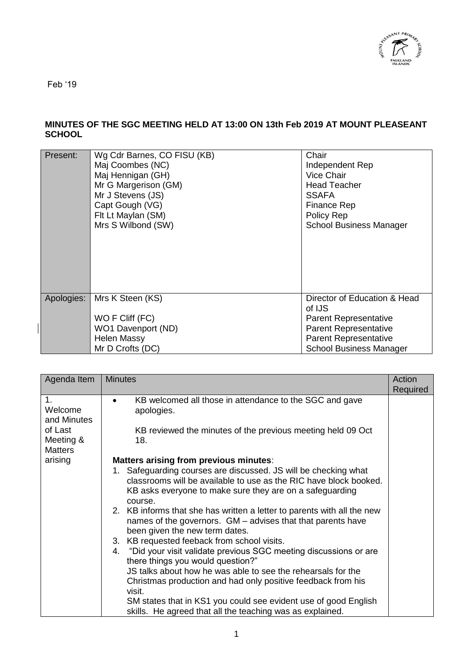

Feb '19

## **MINUTES OF THE SGC MEETING HELD AT 13:00 ON 13th Feb 2019 AT MOUNT PLEASEANT SCHOOL**

| Present:   | Wg Cdr Barnes, CO FISU (KB)<br>Maj Coombes (NC)<br>Maj Hennigan (GH)<br>Mr G Margerison (GM)<br>Mr J Stevens (JS)<br>Capt Gough (VG)<br>Flt Lt Maylan (SM)<br>Mrs S Wilbond (SW) | Chair<br>Independent Rep<br>Vice Chair<br><b>Head Teacher</b><br><b>SSAFA</b><br><b>Finance Rep</b><br>Policy Rep<br><b>School Business Manager</b> |
|------------|----------------------------------------------------------------------------------------------------------------------------------------------------------------------------------|-----------------------------------------------------------------------------------------------------------------------------------------------------|
| Apologies: | Mrs K Steen (KS)<br>WO F Cliff (FC)                                                                                                                                              | Director of Education & Head<br>of IJS<br><b>Parent Representative</b>                                                                              |
|            | WO1 Davenport (ND)                                                                                                                                                               | <b>Parent Representative</b>                                                                                                                        |
|            | <b>Helen Massy</b>                                                                                                                                                               | <b>Parent Representative</b>                                                                                                                        |
|            | Mr D Crofts (DC)                                                                                                                                                                 | <b>School Business Manager</b>                                                                                                                      |
|            |                                                                                                                                                                                  |                                                                                                                                                     |

| Agenda Item                                                                       | <b>Minutes</b>                                                                                                                                                                                                                                                                                                                                                                                                                                                                                                                                                                                                                                                                                                                                                                                                                  | Action<br>Required |
|-----------------------------------------------------------------------------------|---------------------------------------------------------------------------------------------------------------------------------------------------------------------------------------------------------------------------------------------------------------------------------------------------------------------------------------------------------------------------------------------------------------------------------------------------------------------------------------------------------------------------------------------------------------------------------------------------------------------------------------------------------------------------------------------------------------------------------------------------------------------------------------------------------------------------------|--------------------|
| 1.<br>Welcome<br>and Minutes<br>of Last<br>Meeting &<br><b>Matters</b><br>arising | KB welcomed all those in attendance to the SGC and gave<br>apologies.<br>KB reviewed the minutes of the previous meeting held 09 Oct<br>18.<br>Matters arising from previous minutes:                                                                                                                                                                                                                                                                                                                                                                                                                                                                                                                                                                                                                                           |                    |
|                                                                                   | Safeguarding courses are discussed. JS will be checking what<br>1.<br>classrooms will be available to use as the RIC have block booked.<br>KB asks everyone to make sure they are on a safeguarding<br>course.<br>2. KB informs that she has written a letter to parents with all the new<br>names of the governors. GM – advises that that parents have<br>been given the new term dates.<br>3. KB requested feeback from school visits.<br>4. "Did your visit validate previous SGC meeting discussions or are<br>there things you would question?"<br>JS talks about how he was able to see the rehearsals for the<br>Christmas production and had only positive feedback from his<br>visit.<br>SM states that in KS1 you could see evident use of good English<br>skills. He agreed that all the teaching was as explained. |                    |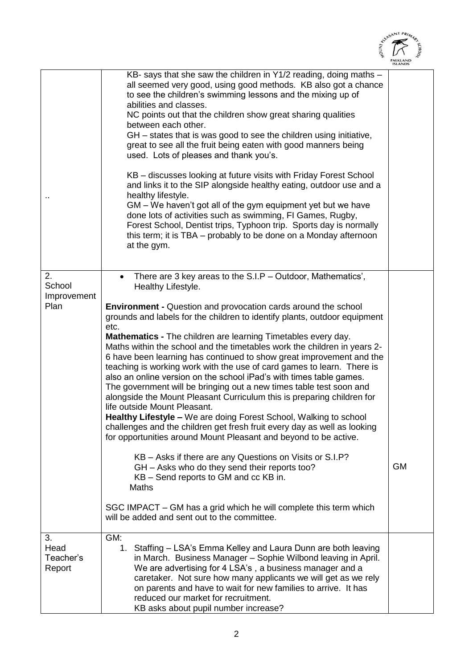

|                                     |                                                                                                                                                                                                                                                                                                                                                                                                                                                                                                                                                                                                                                                                                                                                                                                                                                                                                                                                                                                                                                                                                                                                                                                                                                                                 | <b>ISLANDS</b> |
|-------------------------------------|-----------------------------------------------------------------------------------------------------------------------------------------------------------------------------------------------------------------------------------------------------------------------------------------------------------------------------------------------------------------------------------------------------------------------------------------------------------------------------------------------------------------------------------------------------------------------------------------------------------------------------------------------------------------------------------------------------------------------------------------------------------------------------------------------------------------------------------------------------------------------------------------------------------------------------------------------------------------------------------------------------------------------------------------------------------------------------------------------------------------------------------------------------------------------------------------------------------------------------------------------------------------|----------------|
|                                     | KB- says that she saw the children in Y1/2 reading, doing maths -<br>all seemed very good, using good methods. KB also got a chance<br>to see the children's swimming lessons and the mixing up of<br>abilities and classes.<br>NC points out that the children show great sharing qualities<br>between each other.<br>GH – states that is was good to see the children using initiative,<br>great to see all the fruit being eaten with good manners being<br>used. Lots of pleases and thank you's.<br>KB – discusses looking at future visits with Friday Forest School<br>and links it to the SIP alongside healthy eating, outdoor use and a<br>healthy lifestyle.<br>GM – We haven't got all of the gym equipment yet but we have<br>done lots of activities such as swimming, FI Games, Rugby,<br>Forest School, Dentist trips, Typhoon trip. Sports day is normally<br>this term; it is TBA – probably to be done on a Monday afternoon<br>at the gym.                                                                                                                                                                                                                                                                                                  |                |
|                                     |                                                                                                                                                                                                                                                                                                                                                                                                                                                                                                                                                                                                                                                                                                                                                                                                                                                                                                                                                                                                                                                                                                                                                                                                                                                                 |                |
| 2.<br>School<br>Improvement<br>Plan | There are 3 key areas to the S.I.P - Outdoor, Mathematics',<br>Healthy Lifestyle.<br><b>Environment - Question and provocation cards around the school</b><br>grounds and labels for the children to identify plants, outdoor equipment<br>etc.<br>Mathematics - The children are learning Timetables every day.<br>Maths within the school and the timetables work the children in years 2-<br>6 have been learning has continued to show great improvement and the<br>teaching is working work with the use of card games to learn. There is<br>also an online version on the school iPad's with times table games.<br>The government will be bringing out a new times table test soon and<br>alongside the Mount Pleasant Curriculum this is preparing children for<br>life outside Mount Pleasant.<br>Healthy Lifestyle - We are doing Forest School, Walking to school<br>challenges and the children get fresh fruit every day as well as looking<br>for opportunities around Mount Pleasant and beyond to be active.<br>KB - Asks if there are any Questions on Visits or S.I.P?<br>GH - Asks who do they send their reports too?<br>KB – Send reports to GM and cc KB in.<br>Maths<br>SGC IMPACT - GM has a grid which he will complete this term which | <b>GM</b>      |
|                                     | will be added and sent out to the committee.                                                                                                                                                                                                                                                                                                                                                                                                                                                                                                                                                                                                                                                                                                                                                                                                                                                                                                                                                                                                                                                                                                                                                                                                                    |                |
| 3.<br>Head<br>Teacher's<br>Report   | GM:<br>1.<br>Staffing – LSA's Emma Kelley and Laura Dunn are both leaving<br>in March. Business Manager - Sophie Wilbond leaving in April.<br>We are advertising for 4 LSA's, a business manager and a<br>caretaker. Not sure how many applicants we will get as we rely<br>on parents and have to wait for new families to arrive. It has<br>reduced our market for recruitment.<br>KB asks about pupil number increase?                                                                                                                                                                                                                                                                                                                                                                                                                                                                                                                                                                                                                                                                                                                                                                                                                                       |                |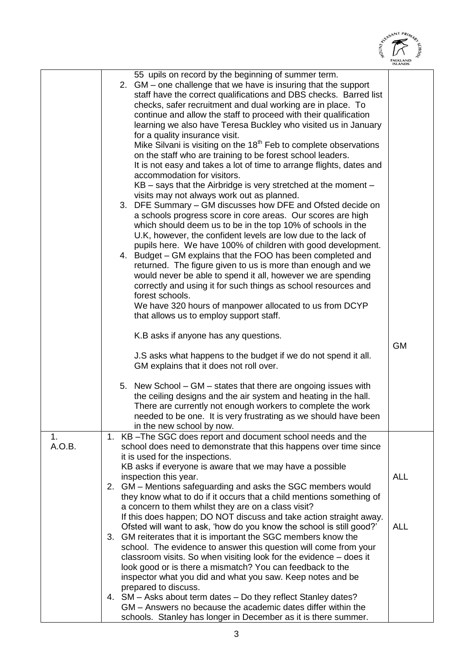

|              |                                                                                                                                                                                                                                                                                                                                                                                                                                                                                                                                                                                                                                                                                                                                                                                                                                                                                                                                                                                                                                                                                                                                                                                                                                                                                                                                                                                                                                                                                                                                | <b>ISLANDS</b> |
|--------------|--------------------------------------------------------------------------------------------------------------------------------------------------------------------------------------------------------------------------------------------------------------------------------------------------------------------------------------------------------------------------------------------------------------------------------------------------------------------------------------------------------------------------------------------------------------------------------------------------------------------------------------------------------------------------------------------------------------------------------------------------------------------------------------------------------------------------------------------------------------------------------------------------------------------------------------------------------------------------------------------------------------------------------------------------------------------------------------------------------------------------------------------------------------------------------------------------------------------------------------------------------------------------------------------------------------------------------------------------------------------------------------------------------------------------------------------------------------------------------------------------------------------------------|----------------|
|              | 55 upils on record by the beginning of summer term.<br>2. GM - one challenge that we have is insuring that the support<br>staff have the correct qualifications and DBS checks. Barred list<br>checks, safer recruitment and dual working are in place. To<br>continue and allow the staff to proceed with their qualification<br>learning we also have Teresa Buckley who visited us in January<br>for a quality insurance visit.<br>Mike Silvani is visiting on the 18 <sup>th</sup> Feb to complete observations<br>on the staff who are training to be forest school leaders.<br>It is not easy and takes a lot of time to arrange flights, dates and<br>accommodation for visitors.<br>KB – says that the Airbridge is very stretched at the moment –<br>visits may not always work out as planned.<br>3. DFE Summary - GM discusses how DFE and Ofsted decide on<br>a schools progress score in core areas. Our scores are high<br>which should deem us to be in the top 10% of schools in the<br>U.K, however, the confident levels are low due to the lack of<br>pupils here. We have 100% of children with good development.<br>4. Budget – GM explains that the FOO has been completed and<br>returned. The figure given to us is more than enough and we<br>would never be able to spend it all, however we are spending<br>correctly and using it for such things as school resources and<br>forest schools.<br>We have 320 hours of manpower allocated to us from DCYP<br>that allows us to employ support staff. |                |
|              | K.B asks if anyone has any questions.<br>J.S asks what happens to the budget if we do not spend it all.<br>GM explains that it does not roll over.                                                                                                                                                                                                                                                                                                                                                                                                                                                                                                                                                                                                                                                                                                                                                                                                                                                                                                                                                                                                                                                                                                                                                                                                                                                                                                                                                                             | <b>GM</b>      |
|              | 5. New School – GM – states that there are ongoing issues with<br>the ceiling designs and the air system and heating in the hall.<br>There are currently not enough workers to complete the work<br>needed to be one. It is very frustrating as we should have been<br>in the new school by now.                                                                                                                                                                                                                                                                                                                                                                                                                                                                                                                                                                                                                                                                                                                                                                                                                                                                                                                                                                                                                                                                                                                                                                                                                               |                |
| 1.<br>A.O.B. | 1. KB-The SGC does report and document school needs and the<br>school does need to demonstrate that this happens over time since<br>it is used for the inspections.<br>KB asks if everyone is aware that we may have a possible<br>inspection this year.<br>2. GM - Mentions safeguarding and asks the SGC members would<br>they know what to do if it occurs that a child mentions something of<br>a concern to them whilst they are on a class visit?                                                                                                                                                                                                                                                                                                                                                                                                                                                                                                                                                                                                                                                                                                                                                                                                                                                                                                                                                                                                                                                                        | <b>ALL</b>     |
|              | If this does happen; DO NOT discuss and take action straight away.<br>Ofsted will want to ask, 'how do you know the school is still good?'<br>3. GM reiterates that it is important the SGC members know the<br>school. The evidence to answer this question will come from your<br>classroom visits. So when visiting look for the evidence - does it<br>look good or is there a mismatch? You can feedback to the<br>inspector what you did and what you saw. Keep notes and be<br>prepared to discuss.                                                                                                                                                                                                                                                                                                                                                                                                                                                                                                                                                                                                                                                                                                                                                                                                                                                                                                                                                                                                                      | <b>ALL</b>     |
|              | 4. SM - Asks about term dates - Do they reflect Stanley dates?<br>GM – Answers no because the academic dates differ within the<br>schools. Stanley has longer in December as it is there summer.                                                                                                                                                                                                                                                                                                                                                                                                                                                                                                                                                                                                                                                                                                                                                                                                                                                                                                                                                                                                                                                                                                                                                                                                                                                                                                                               |                |